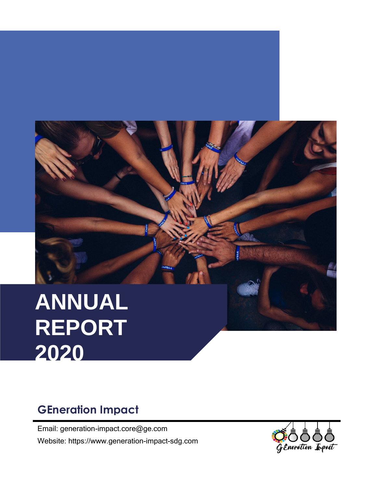

# **ANNUAL REPORT 2020**

## **GEneration Impact**

Email: generation-impact.core@ge.com Website: https://www.generation-impact-sdg.com

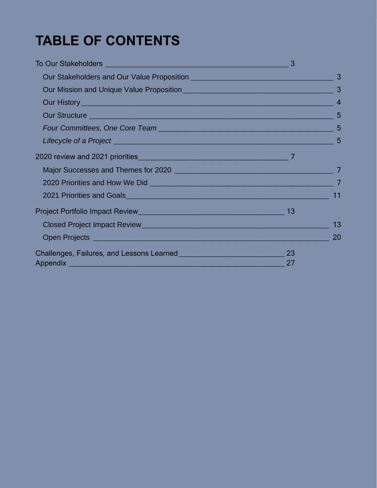## **TABLE OF CONTENTS**

| 3                                                                                                                                                                                                                                    |     |                 |
|--------------------------------------------------------------------------------------------------------------------------------------------------------------------------------------------------------------------------------------|-----|-----------------|
|                                                                                                                                                                                                                                      |     | 3               |
|                                                                                                                                                                                                                                      |     | $\overline{3}$  |
|                                                                                                                                                                                                                                      |     | $\overline{4}$  |
| Our Structure Party of the Contract of the Contract of the Contract of the Contract of the Contract of the Contract of the Contract of the Contract of the Contract of the Contract of the Contract of the Contract of the Con       |     | 5               |
|                                                                                                                                                                                                                                      |     | $5\overline{5}$ |
|                                                                                                                                                                                                                                      |     |                 |
| 2020 review and 2021 priorities 2000 and 2021 and 2011 and 2021 and 2021 and 2021 and 2021 and 2021 and 2021 and 20                                                                                                                  |     |                 |
|                                                                                                                                                                                                                                      |     |                 |
| 2020 Priorities and How We Did <b>Constitution</b> 2020 Priorities and How We Did <b>Constitution</b>                                                                                                                                |     |                 |
|                                                                                                                                                                                                                                      |     | 11              |
| Project Portfolio Impact Review Manual According Contract of Project Portfolio Impact Review                                                                                                                                         | 13  |                 |
|                                                                                                                                                                                                                                      |     | 13              |
| Open Projects <u>experience and the contract of the contract of the contract of the contract of the contract of the contract of the contract of the contract of the contract of the contract of the contract of the contract of </u> |     | 20              |
| Challenges, Failures, and Lessons Learned <b>Challenges</b> 23                                                                                                                                                                       |     |                 |
| Appendix <b>Appendix Appendix Appendix Appendix Appendix Appendix Appendix Appendix</b>                                                                                                                                              | -27 |                 |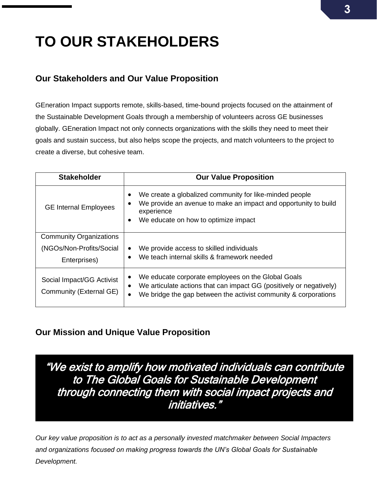## <span id="page-2-0"></span>**TO OUR STAKEHOLDERS**

## <span id="page-2-1"></span>**Our Stakeholders and Our Value Proposition**

GEneration Impact supports remote, skills-based, time-bound projects focused on the attainment of the Sustainable Development Goals through a membership of volunteers across GE businesses globally. GEneration Impact not only connects organizations with the skills they need to meet their goals and sustain success, but also helps scope the projects, and match volunteers to the project to create a diverse, but cohesive team.

| <b>Stakeholder</b>                                                         | <b>Our Value Proposition</b>                                                                                                                                                                 |
|----------------------------------------------------------------------------|----------------------------------------------------------------------------------------------------------------------------------------------------------------------------------------------|
| <b>GE Internal Employees</b>                                               | We create a globalized community for like-minded people<br>We provide an avenue to make an impact and opportunity to build<br>experience<br>We educate on how to optimize impact<br>٠        |
| <b>Community Organizations</b><br>(NGOs/Non-Profits/Social<br>Enterprises) | We provide access to skilled individuals<br>٠<br>We teach internal skills & framework needed                                                                                                 |
| Social Impact/GG Activist<br>Community (External GE)                       | We educate corporate employees on the Global Goals<br>We articulate actions that can impact GG (positively or negatively)<br>We bridge the gap between the activist community & corporations |

## <span id="page-2-2"></span>**Our Mission and Unique Value Proposition**

"We exist to amplify how motivated individuals can contribute to The Global Goals for Sustainable Development through connecting them with social impact projects and initiatives."

*Our key value proposition is to act as a personally invested matchmaker between Social Impacters and organizations focused on making progress towards the UN's Global Goals for Sustainable Development.*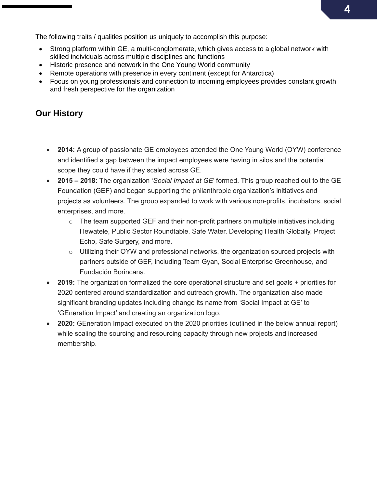The following traits / qualities position us uniquely to accomplish this purpose:

- Strong platform within GE, a multi-conglomerate, which gives access to a global network with skilled individuals across multiple disciplines and functions
- Historic presence and network in the One Young World community
- Remote operations with presence in every continent (except for Antarctica)
- Focus on young professionals and connection to incoming employees provides constant growth and fresh perspective for the organization

## <span id="page-3-0"></span>**Our History**

- **2014:** A group of passionate GE employees attended the One Young World (OYW) conference and identified a gap between the impact employees were having in silos and the potential scope they could have if they scaled across GE.
- **2015 – 2018:** The organization '*Social Impact at GE*' formed. This group reached out to the GE Foundation (GEF) and began supporting the philanthropic organization's initiatives and projects as volunteers. The group expanded to work with various non-profits, incubators, social enterprises, and more.
	- $\circ$  The team supported GEF and their non-profit partners on multiple initiatives including Hewatele, Public Sector Roundtable, Safe Water, Developing Health Globally, Project Echo, Safe Surgery, and more.
	- $\circ$  Utilizing their OYW and professional networks, the organization sourced projects with partners outside of GEF, including Team Gyan, Social Enterprise Greenhouse, and Fundación Borincana.
- **2019:** The organization formalized the core operational structure and set goals + priorities for 2020 centered around standardization and outreach growth. The organization also made significant branding updates including change its name from 'Social Impact at GE' to 'GEneration Impact' and creating an organization logo.
- **2020:** GEneration Impact executed on the 2020 priorities (outlined in the below annual report) while scaling the sourcing and resourcing capacity through new projects and increased membership.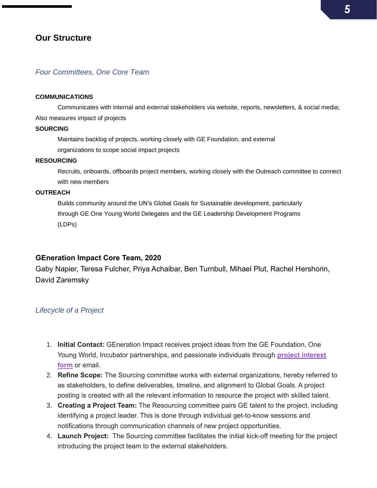### <span id="page-4-0"></span>**Our Structure**

#### <span id="page-4-1"></span>*Four Committees, One Core Team*

#### **COMMUNICATIONS**

Communicates with internal and external stakeholders via website, reports, newsletters, & social media; Also measures impact of projects

#### **SOURCING**

Maintains backlog of projects, working closely with GE Foundation, and external organizations to scope social impact projects

#### **RESOURCING**

Recruits, onboards, offboards project members, working closely with the Outreach committee to connect with new members

#### **OUTREACH**

Builds community around the UN's Global Goals for Sustainable development, particularly through GE One Young World Delegates and the GE Leadership Development Programs (LDPs)

#### **GEneration Impact Core Team, 2020**

Gaby Napier, Teresa Fulcher, Priya Achaibar, Ben Turnbull, Mihael Plut, Rachel Hershorin, David Zaremsky

#### <span id="page-4-2"></span>*Lifecycle of a Project*

- 1. **Initial Contact:** GEneration Impact receives project ideas from the GE Foundation, One Young World, Incubator partnerships, and passionate individuals through **[project interest](https://supportcentral.ge.com/esurvey/GE_survey/takeSurvey.html?form_id=18446744073710023232)  [form](https://supportcentral.ge.com/esurvey/GE_survey/takeSurvey.html?form_id=18446744073710023232)** or email.
- 2. **Refine Scope:** The Sourcing committee works with external organizations, hereby referred to as stakeholders, to define deliverables, timeline, and alignment to Global Goals. A project posting is created with all the relevant information to resource the project with skilled talent.
- 3. **Creating a Project Team:** The Resourcing committee pairs GE talent to the project, including identifying a project leader. This is done through individual get-to-know sessions and notifications through communication channels of new project opportunities.
- 4. **Launch Project:** The Sourcing committee facilitates the initial kick-off meeting for the project introducing the project team to the external stakeholders.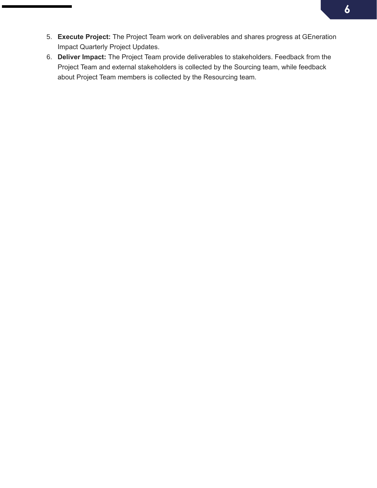- 5. **Execute Project:** The Project Team work on deliverables and shares progress at GEneration Impact Quarterly Project Updates.
- 6. **Deliver Impact:** The Project Team provide deliverables to stakeholders. Feedback from the Project Team and external stakeholders is collected by the Sourcing team, while feedback about Project Team members is collected by the Resourcing team.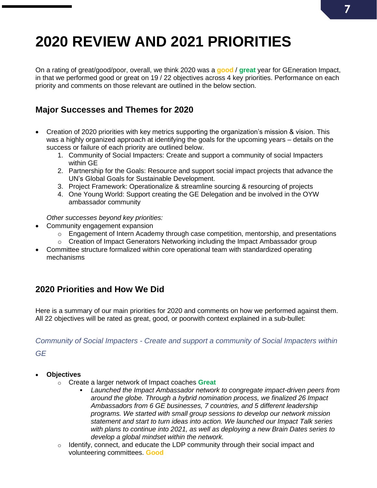## <span id="page-6-0"></span>**2020 REVIEW AND 2021 PRIORITIES**

On a rating of great/good/poor, overall, we think 2020 was a **good** / **great** year for GEneration Impact, in that we performed good or great on 19 / 22 objectives across 4 key priorities. Performance on each priority and comments on those relevant are outlined in the below section.

## <span id="page-6-1"></span>**Major Successes and Themes for 2020**

- Creation of 2020 priorities with key metrics supporting the organization's mission & vision. This was a highly organized approach at identifying the goals for the upcoming years – details on the success or failure of each priority are outlined below.
	- 1. Community of Social Impacters: Create and support a community of social Impacters within GE
	- 2. Partnership for the Goals: Resource and support social impact projects that advance the UN's Global Goals for Sustainable Development.
	- 3. Project Framework: Operationalize & streamline sourcing & resourcing of projects
	- 4. One Young World: Support creating the GE Delegation and be involved in the OYW ambassador community

*Other successes beyond key priorities:*

- Community engagement expansion
	- o Engagement of Intern Academy through case competition, mentorship, and presentations
	- $\circ$  Creation of Impact Generators Networking including the Impact Ambassador group
- Committee structure formalized within core operational team with standardized operating mechanisms

## <span id="page-6-2"></span>**2020 Priorities and How We Did**

Here is a summary of our main priorities for 2020 and comments on how we performed against them. All 22 objectives will be rated as great, good, or poorwith context explained in a sub-bullet:

*Community of Social Impacters - Create and support a community of Social Impacters within*

*GE*

#### • **Objectives**

- o Create a larger network of Impact coaches **Great**
	- *Launched the Impact Ambassador network to congregate impact-driven peers from around the globe. Through a hybrid nomination process, we finalized 26 Impact Ambassadors from 6 GE businesses, 7 countries, and 5 different leadership programs. We started with small group sessions to develop our network mission statement and start to turn ideas into action. We launched our Impact Talk series with plans to continue into 2021, as well as deploying a new Brain Dates series to develop a global mindset within the network.*
- o Identify, connect, and educate the LDP community through their social impact and volunteering committees. **Good**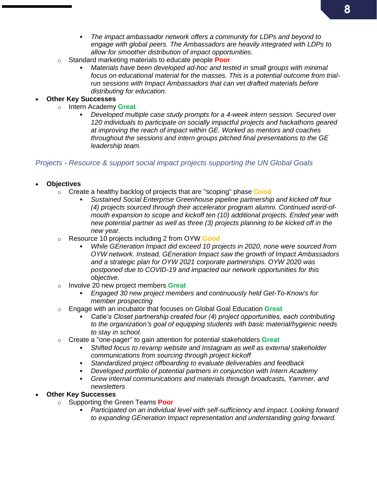- *The impact ambassador network offers a community for LDPs and beyond to engage with global peers. The Ambassadors are heavily integrated with LDPs to allow for smoother distribution of impact opportunities.*
- o Standard marketing materials to educate people **Poor**
	- Materials have been developed ad-hoc and tested in small groups with minimal *focus on educational material for the masses. This is a potential outcome from trialrun sessions with Impact Ambassadors that can vet drafted materials before distributing for education.*

#### • **Other Key Successes**

- o Intern Academy **Great**
	- Developed multiple case study prompts for a 4-week intern session. Secured over *120 individuals to participate on socially impactful projects and hackathons geared at improving the reach of impact within GE. Worked as mentors and coaches throughout the sessions and intern groups pitched final presentations to the GE leadership team.*

#### *Projects - Resource & support social impact projects supporting the UN Global Goals*

#### • **Objectives**

- o Create a healthy backlog of projects that are "scoping" phase **Good**
	- *Sustained Social Enterprise Greenhouse pipeline partnership and kicked off four (4) projects sourced through their accelerator program alumni. Continued word-ofmouth expansion to scope and kickoff ten (10) additional projects. Ended year with new potential partner as well as three (3) projects planning to be kicked off in the new year.*
- o Resource 10 projects including 2 from OYW **Good**
	- While GEneration Impact did exceed 10 projects in 2020, none were sourced from *OYW network. Instead, GEneration Impact saw the growth of Impact Ambassadors and a strategic plan for OYW 2021 corporate partnerships. OYW 2020 was postponed due to COVID-19 and impacted our network opportunities for this objective.*
- o Involve 20 new project members **Great**
	- *Engaged 30 new project members and continuously held Get-To-Know's for member prospecting*
- o Engage with an incubator that focuses on Global Goal Education **Great**
	- Catie's Closet partnership created four (4) project opportunities, each contributing *to the organization's goal of equipping students with basic material/hygienic needs to stay in school.*
- o Create a "one-pager" to gain attention for potential stakeholders **Great**
	- *Shifted focus to revamp website and Instagram as well as external stakeholder communications from sourcing through project kickoff*
	- *Standardized project offboarding to evaluate deliverables and feedback*
	- **Developed portfolio of potential partners in conjunction with Intern Academy**
	- *Grew internal communications and materials through broadcasts, Yammer, and newsletters*

#### • **Other Key Successes**

- o Supporting the Green Teams **Poor**
	- Participated on an individual level with self-sufficiency and impact. Looking forward *to expanding GEneration Impact representation and understanding going forward.*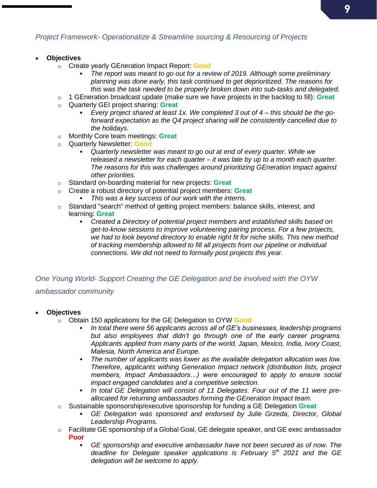### *Project Framework- Operationalize & Streamline sourcing & Resourcing of Projects*

- **Objectives**
	- o Create yearly GEneration Impact Report: **Good**
		- The report was meant to go out for a review of 2019. Although some preliminary *planning was done early, this task continued to get deprioritized. The reasons for this was the task needed to be properly broken down into sub-tasks and delegated.*
	- o 1 GEneration broadcast update (make sure we have projects in the backlog to fill): **Great**
	- o Quarterly GEI project sharing: **Great**
		- *Every project shared at least 1x. We completed 3 out of 4 – this should be the goforward expectation as the Q4 project sharing will be consistently cancelled due to the holidays.*
	- o Monthly Core team meetings: **Great**
	- o Quarterly Newsletter: **Good**
		- *Quarterly newsletter was meant to go out at end of every quarter. While we released a newsletter for each quarter – it was late by up to a month each quarter. The reasons for this was challenges around prioritizing GEneration Impact against other priorities.*
	- o Standard on-boarding material for new projects: **Great**
	- o Create a robust directory of potential project members: **Great**
		- *This was a key success of our work with the interns.*
	- $\circ$  Standard "search" method of getting project members: balance skills, interest, and learning: **Great**
		- *Created a Directory of potential project members and established skills based on get-to-know sessions to improve volunteering pairing process. For a few projects, we had to look beyond directory to enable right fit for niche skills. This new method of tracking membership allowed to fill all projects from our pipeline or individual connections. We did not need to formally post projects this year.*

## *One Young World- Support Creating the GE Delegation and be involved with the OYW ambassador community*

- **Objectives** 
	- o Obtain 150 applications for the GE Delegation to OYW **Good**
		- In total there were 56 applicants across all of GE's businesses, leadership programs *but also employees that didn't go through one of the early career programs. Applicants applied from many parts of the world, Japan, Mexico, India, Ivory Coast, Malesia, North America and Europe.*
		- The number of applicants was lower as the available delegation allocation was low. *Therefore, applicants withing Generation Impact network (distribution lists, project members, Impact Ambassadors…) were encouraged to apply to ensure social impact engaged candidates and a competitive selection.*
		- In total GE Delegation will consist of 11 Delegates. Four out of the 11 were pre*allocated for returning ambassadors forming the GEneration Impact team.*
	- o Sustainable sponsorship/executive sponsorship for funding a GE Delegation **Great**
		- *GE Delegation was sponsored and endorsed by Julie Grzeda, Director, Global Leadership Programs.*
	- o Facilitate GE sponsorship of a Global Goal, GE delegate speaker, and GE exec ambassador **Poor**
		- *GE sponsorship and executive ambassador have not been secured as of now. The deadline for Delegate speaker applications is February 5th 2021 and the GE delegation will be welcome to apply.*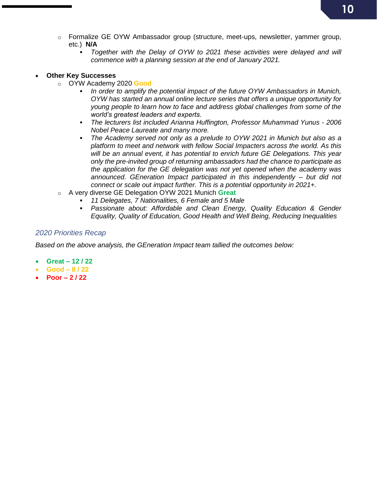- o Formalize GE OYW Ambassador group (structure, meet-ups, newsletter, yammer group, etc.) **N/A**
	- *Together with the Delay of OYW to 2021 these activities were delayed and will commence with a planning session at the end of January 2021.*

#### • **Other Key Successes**

- o OYW Academy 2020 **Good**
	- **In order to amplify the potential impact of the future OYW Ambassadors in Munich,** *OYW has started an annual online lecture series that offers a unique opportunity for young people to learn how to face and address global challenges from some of the world's greatest leaders and experts.*
	- *The lecturers list included Arianna Huffington, Professor Muhammad Yunus - 2006 Nobel Peace Laureate and many more.*
	- The Academy served not only as a prelude to OYW 2021 in Munich but also as a *platform to meet and network with fellow Social Impacters across the world. As this will be an annual event, it has potential to enrich future GE Delegations. This year only the pre-invited group of returning ambassadors had the chance to participate as the application for the GE delegation was not yet opened when the academy was announced. GEneration Impact participated in this independently – but did not connect or scale out impact further. This is a potential opportunity in 2021+.*
- o A very diverse GE Delegation OYW 2021 Munich **Great**
	- *11 Delegates, 7 Nationalities, 6 Female and 5 Male*
	- Passionate about: Affordable and Clean Energy, Quality Education & Gender *Equality, Quality of Education, Good Health and Well Being, Reducing Inequalities*

#### *2020 Priorities Recap*

*Based on the above analysis, the GEneration Impact team tallied the outcomes below:*

- **Great – 12 / 22**
- **Good – 8 / 22**
- **Poor – 2 / 22**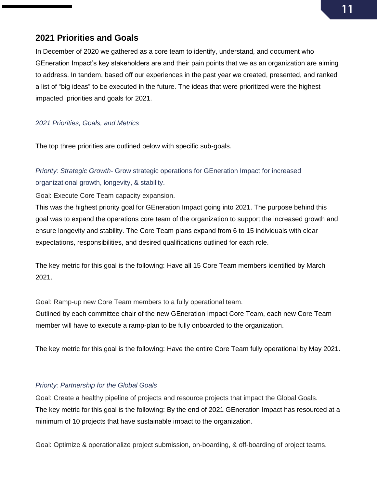## <span id="page-10-0"></span>**2021 Priorities and Goals**

In December of 2020 we gathered as a core team to identify, understand, and document who GEneration Impact's key stakeholders are and their pain points that we as an organization are aiming to address. In tandem, based off our experiences in the past year we created, presented, and ranked a list of "big ideas" to be executed in the future. The ideas that were prioritized were the highest impacted priorities and goals for 2021.

#### *2021 Priorities, Goals, and Metrics*

The top three priorities are outlined below with specific sub-goals.

*Priority: Strategic Growth-* Grow strategic operations for GEneration Impact for increased organizational growth, longevity, & stability.

Goal: Execute Core Team capacity expansion.

This was the highest priority goal for GEneration Impact going into 2021. The purpose behind this goal was to expand the operations core team of the organization to support the increased growth and ensure longevity and stability. The Core Team plans expand from 6 to 15 individuals with clear expectations, responsibilities, and desired qualifications outlined for each role.

The key metric for this goal is the following: Have all 15 Core Team members identified by March 2021.

Goal: Ramp-up new Core Team members to a fully operational team.

Outlined by each committee chair of the new GEneration Impact Core Team, each new Core Team member will have to execute a ramp-plan to be fully onboarded to the organization.

The key metric for this goal is the following: Have the entire Core Team fully operational by May 2021.

#### *Priority: Partnership for the Global Goals*

Goal: Create a healthy pipeline of projects and resource projects that impact the Global Goals. The key metric for this goal is the following: By the end of 2021 GEneration Impact has resourced at a minimum of 10 projects that have sustainable impact to the organization.

Goal: Optimize & operationalize project submission, on-boarding, & off-boarding of project teams.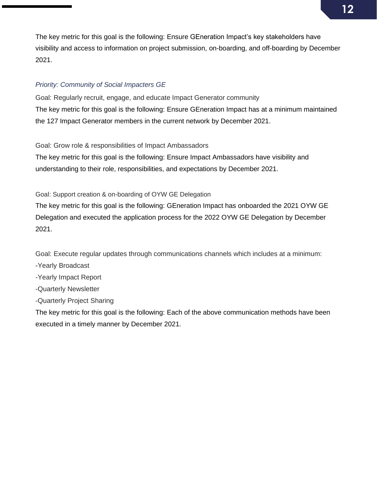The key metric for this goal is the following: Ensure GEneration Impact's key stakeholders have visibility and access to information on project submission, on-boarding, and off-boarding by December 2021.

#### *Priority: Community of Social Impacters GE*

Goal: Regularly recruit, engage, and educate Impact Generator community The key metric for this goal is the following: Ensure GEneration Impact has at a minimum maintained the 127 Impact Generator members in the current network by December 2021.

Goal: Grow role & responsibilities of Impact Ambassadors

The key metric for this goal is the following: Ensure Impact Ambassadors have visibility and understanding to their role, responsibilities, and expectations by December 2021.

Goal: Support creation & on-boarding of OYW GE Delegation

The key metric for this goal is the following: GEneration Impact has onboarded the 2021 OYW GE Delegation and executed the application process for the 2022 OYW GE Delegation by December 2021.

Goal: Execute regular updates through communications channels which includes at a minimum:

-Yearly Broadcast

-Yearly Impact Report

-Quarterly Newsletter

-Quarterly Project Sharing

The key metric for this goal is the following: Each of the above communication methods have been executed in a timely manner by December 2021.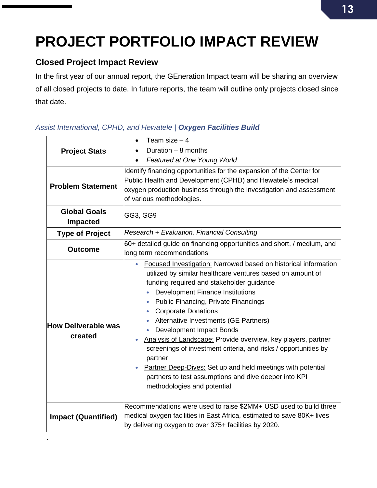## <span id="page-12-0"></span>**PROJECT PORTFOLIO IMPACT REVIEW**

## <span id="page-12-1"></span>**Closed Project Impact Review**

.

In the first year of our annual report, the GEneration Impact team will be sharing an overview of all closed projects to date. In future reports, the team will outline only projects closed since that date.

| <b>Project Stats</b>                  | Team size $-4$<br>$\bullet$                                                                                                                                                                                                                                                                                                                                                                                                                                                                                                                                                                                                                                                                                                      |
|---------------------------------------|----------------------------------------------------------------------------------------------------------------------------------------------------------------------------------------------------------------------------------------------------------------------------------------------------------------------------------------------------------------------------------------------------------------------------------------------------------------------------------------------------------------------------------------------------------------------------------------------------------------------------------------------------------------------------------------------------------------------------------|
|                                       | Duration $-$ 8 months                                                                                                                                                                                                                                                                                                                                                                                                                                                                                                                                                                                                                                                                                                            |
|                                       | Featured at One Young World<br>$\bullet$                                                                                                                                                                                                                                                                                                                                                                                                                                                                                                                                                                                                                                                                                         |
|                                       | Identify financing opportunities for the expansion of the Center for                                                                                                                                                                                                                                                                                                                                                                                                                                                                                                                                                                                                                                                             |
| <b>Problem Statement</b>              | Public Health and Development (CPHD) and Hewatele's medical                                                                                                                                                                                                                                                                                                                                                                                                                                                                                                                                                                                                                                                                      |
|                                       | oxygen production business through the investigation and assessment<br>of various methodologies.                                                                                                                                                                                                                                                                                                                                                                                                                                                                                                                                                                                                                                 |
| <b>Global Goals</b>                   |                                                                                                                                                                                                                                                                                                                                                                                                                                                                                                                                                                                                                                                                                                                                  |
| <b>Impacted</b>                       | GG3, GG9                                                                                                                                                                                                                                                                                                                                                                                                                                                                                                                                                                                                                                                                                                                         |
| <b>Type of Project</b>                | Research + Evaluation, Financial Consulting                                                                                                                                                                                                                                                                                                                                                                                                                                                                                                                                                                                                                                                                                      |
| <b>Outcome</b>                        | 60+ detailed guide on financing opportunities and short, / medium, and                                                                                                                                                                                                                                                                                                                                                                                                                                                                                                                                                                                                                                                           |
|                                       | long term recommendations                                                                                                                                                                                                                                                                                                                                                                                                                                                                                                                                                                                                                                                                                                        |
| <b>How Deliverable was</b><br>created | Focused Investigation: Narrowed based on historical information<br>$\bullet$<br>utilized by similar healthcare ventures based on amount of<br>funding required and stakeholder guidance<br><b>Development Finance Institutions</b><br><b>Public Financing, Private Financings</b><br><b>Corporate Donations</b><br>۰<br>Alternative Investments (GE Partners)<br><b>Development Impact Bonds</b><br>Analysis of Landscape: Provide overview, key players, partner<br>$\bullet$<br>screenings of investment criteria, and risks / opportunities by<br>partner<br>Partner Deep-Dives: Set up and held meetings with potential<br>$\bullet$<br>partners to test assumptions and dive deeper into KPI<br>methodologies and potential |
| <b>Impact (Quantified)</b>            | Recommendations were used to raise \$2MM+ USD used to build three<br>medical oxygen facilities in East Africa, estimated to save 80K+ lives<br>by delivering oxygen to over 375+ facilities by 2020.                                                                                                                                                                                                                                                                                                                                                                                                                                                                                                                             |

### *Assist International, CPHD, and Hewatele | Oxygen Facilities Build*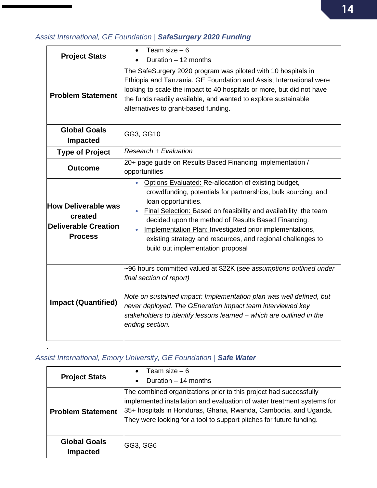## *Assist International, GE Foundation | SafeSurgery 2020 Funding*

| <b>Project Stats</b>                                                                   | Team size $-6$<br>$\bullet$                                                                                                                                                                                                                                                                                                                                                                                                                          |
|----------------------------------------------------------------------------------------|------------------------------------------------------------------------------------------------------------------------------------------------------------------------------------------------------------------------------------------------------------------------------------------------------------------------------------------------------------------------------------------------------------------------------------------------------|
|                                                                                        | Duration - 12 months                                                                                                                                                                                                                                                                                                                                                                                                                                 |
| <b>Problem Statement</b>                                                               | The SafeSurgery 2020 program was piloted with 10 hospitals in<br>Ethiopia and Tanzania. GE Foundation and Assist International were<br>looking to scale the impact to 40 hospitals or more, but did not have<br>the funds readily available, and wanted to explore sustainable<br>alternatives to grant-based funding.                                                                                                                               |
| <b>Global Goals</b>                                                                    | GG3, GG10                                                                                                                                                                                                                                                                                                                                                                                                                                            |
| <b>Impacted</b>                                                                        |                                                                                                                                                                                                                                                                                                                                                                                                                                                      |
| <b>Type of Project</b>                                                                 | <b>Research + Evaluation</b>                                                                                                                                                                                                                                                                                                                                                                                                                         |
| <b>Outcome</b>                                                                         | 20+ page guide on Results Based Financing implementation /<br>opportunities                                                                                                                                                                                                                                                                                                                                                                          |
| <b>How Deliverable was</b><br>created<br><b>Deliverable Creation</b><br><b>Process</b> | Options Evaluated: Re-allocation of existing budget,<br>$\bullet$<br>crowdfunding, potentials for partnerships, bulk sourcing, and<br>loan opportunities.<br>Final Selection: Based on feasibility and availability, the team<br>decided upon the method of Results Based Financing.<br>Implementation Plan: Investigated prior implementations,<br>existing strategy and resources, and regional challenges to<br>build out implementation proposal |
| <b>Impact (Quantified)</b>                                                             | -96 hours committed valued at \$22K (see assumptions outlined under<br>final section of report)<br>Note on sustained impact: Implementation plan was well defined, but<br>never deployed. The GEneration Impact team interviewed key<br>stakeholders to identify lessons learned - which are outlined in the<br>ending section.                                                                                                                      |

## *Assist International, Emory University, GE Foundation | Safe Water*

| <b>Project Stats</b>                   | Team size $-6$<br>$\bullet$                                                                                                                                                                                                                                                           |
|----------------------------------------|---------------------------------------------------------------------------------------------------------------------------------------------------------------------------------------------------------------------------------------------------------------------------------------|
|                                        | Duration - 14 months<br>$\bullet$                                                                                                                                                                                                                                                     |
| <b>Problem Statement</b>               | The combined organizations prior to this project had successfully<br>implemented installation and evaluation of water treatment systems for<br>35+ hospitals in Honduras, Ghana, Rwanda, Cambodia, and Uganda.<br>They were looking for a tool to support pitches for future funding. |
| <b>Global Goals</b><br><b>Impacted</b> | GG3, GG6                                                                                                                                                                                                                                                                              |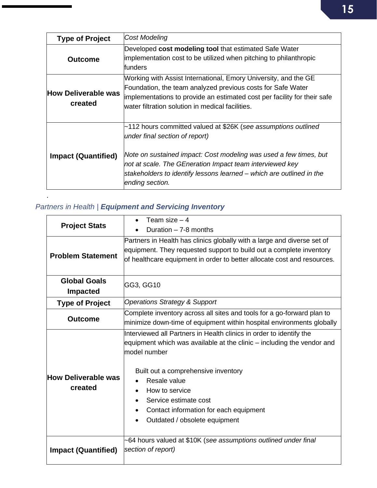| <b>Type of Project</b>                | Cost Modeling                                                                                                                                                                                                                                                                                                                |
|---------------------------------------|------------------------------------------------------------------------------------------------------------------------------------------------------------------------------------------------------------------------------------------------------------------------------------------------------------------------------|
| <b>Outcome</b>                        | Developed cost modeling tool that estimated Safe Water<br>implementation cost to be utilized when pitching to philanthropic<br>funders                                                                                                                                                                                       |
| <b>How Deliverable was</b><br>created | Working with Assist International, Emory University, and the GE<br>Foundation, the team analyzed previous costs for Safe Water<br>implementations to provide an estimated cost per facility for their safe<br>water filtration solution in medical facilities.                                                               |
| <b>Impact (Quantified)</b>            | ~112 hours committed valued at \$26K (see assumptions outlined<br>under final section of report)<br>Note on sustained impact: Cost modeling was used a few times, but<br>not at scale. The GEneration Impact team interviewed key<br>stakeholders to identify lessons learned – which are outlined in the<br>ending section. |

## *Partners in Health | Equipment and Servicing Inventory*

| <b>Project Stats</b>                   | Team size $-4$                                                                                                                                                                                                                                                                                                                                                                    |
|----------------------------------------|-----------------------------------------------------------------------------------------------------------------------------------------------------------------------------------------------------------------------------------------------------------------------------------------------------------------------------------------------------------------------------------|
|                                        | Duration - 7-8 months                                                                                                                                                                                                                                                                                                                                                             |
| <b>Problem Statement</b>               | Partners in Health has clinics globally with a large and diverse set of<br>equipment. They requested support to build out a complete inventory<br>of healthcare equipment in order to better allocate cost and resources.                                                                                                                                                         |
| <b>Global Goals</b><br><b>Impacted</b> | GG3, GG10                                                                                                                                                                                                                                                                                                                                                                         |
| <b>Type of Project</b>                 | <b>Operations Strategy &amp; Support</b>                                                                                                                                                                                                                                                                                                                                          |
| <b>Outcome</b>                         | Complete inventory across all sites and tools for a go-forward plan to<br>minimize down-time of equipment within hospital environments globally                                                                                                                                                                                                                                   |
| <b>How Deliverable was</b><br>created  | Interviewed all Partners in Health clinics in order to identify the<br>equipment which was available at the clinic – including the vendor and<br>model number<br>Built out a comprehensive inventory<br>Resale value<br>How to service<br>$\bullet$<br>Service estimate cost<br>$\bullet$<br>Contact information for each equipment<br>$\bullet$<br>Outdated / obsolete equipment |
| <b>Impact (Quantified)</b>             | ~64 hours valued at \$10K (see assumptions outlined under final<br>section of report)                                                                                                                                                                                                                                                                                             |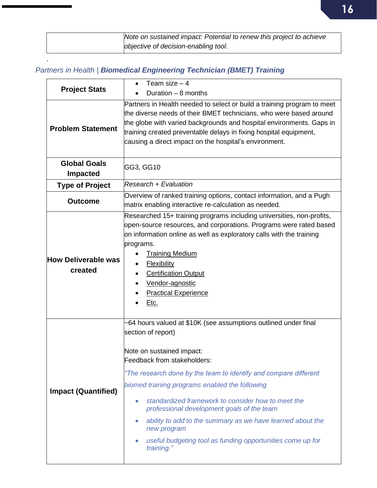| Note on sustained impact: Potential to renew this project to achieve |
|----------------------------------------------------------------------|
| objective of decision-enabling tool.                                 |

## *Partners in Health | Biomedical Engineering Technician (BMET) Training*

| <b>Project Stats</b>                   | Team size $-4$<br>Duration $-8$ months                                                                                                                                                                                                                                                                                                                                                                                                                                                                                                                         |
|----------------------------------------|----------------------------------------------------------------------------------------------------------------------------------------------------------------------------------------------------------------------------------------------------------------------------------------------------------------------------------------------------------------------------------------------------------------------------------------------------------------------------------------------------------------------------------------------------------------|
| <b>Problem Statement</b>               | Partners in Health needed to select or build a training program to meet<br>the diverse needs of their BMET technicians, who were based around<br>the globe with varied backgrounds and hospital environments. Gaps in<br>training created preventable delays in fixing hospital equipment,<br>causing a direct impact on the hospital's environment.                                                                                                                                                                                                           |
| <b>Global Goals</b><br><b>Impacted</b> | GG3, GG10                                                                                                                                                                                                                                                                                                                                                                                                                                                                                                                                                      |
| <b>Type of Project</b>                 | Research + Evaluation                                                                                                                                                                                                                                                                                                                                                                                                                                                                                                                                          |
| <b>Outcome</b>                         | Overview of ranked training options, contact information, and a Pugh<br>matrix enabling interactive re-calculation as needed.                                                                                                                                                                                                                                                                                                                                                                                                                                  |
| <b>How Deliverable was</b><br>created  | Researched 15+ training programs including universities, non-profits,<br>open-source resources, and corporations. Programs were rated based<br>on information online as well as exploratory calls with the training<br>programs.<br><b>Training Medium</b><br><b>Flexibility</b><br><b>Certification Output</b><br>Vendor-agnostic<br><b>Practical Experience</b><br><u>Etc.</u>                                                                                                                                                                               |
| <b>Impact (Quantified)</b>             | -64 hours valued at \$10K (see assumptions outlined under final<br>section of report)<br>Note on sustained impact:<br>Feedback from stakeholders:<br>"The research done by the team to identify and compare different<br>biomed training programs enabled the following<br>standardized framework to consider how to meet the<br>$\bullet$<br>professional development goals of the team<br>ability to add to the summary as we have learned about the<br>$\bullet$<br>new program<br>useful budgeting tool as funding opportunities come up for<br>training." |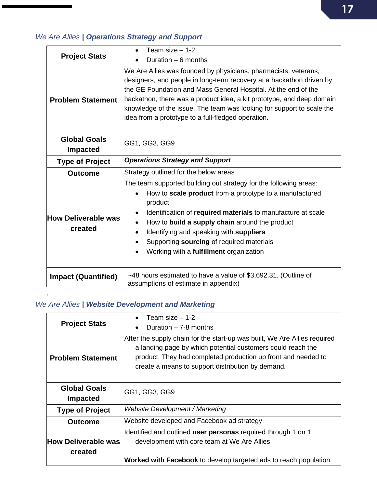## *We Are Allies | Operations Strategy and Support*

| <b>Project Stats</b>                   | Team size $-1-2$                                                                                                                                                                                                                                                                                                                                                                                                  |
|----------------------------------------|-------------------------------------------------------------------------------------------------------------------------------------------------------------------------------------------------------------------------------------------------------------------------------------------------------------------------------------------------------------------------------------------------------------------|
|                                        | Duration $-6$ months                                                                                                                                                                                                                                                                                                                                                                                              |
| <b>Problem Statement</b>               | We Are Allies was founded by physicians, pharmacists, veterans,<br>designers, and people in long-term recovery at a hackathon driven by<br>the GE Foundation and Mass General Hospital. At the end of the<br>hackathon, there was a product idea, a kit prototype, and deep domain<br>knowledge of the issue. The team was looking for support to scale the<br>idea from a prototype to a full-fledged operation. |
| <b>Global Goals</b><br><b>Impacted</b> | GG1, GG3, GG9                                                                                                                                                                                                                                                                                                                                                                                                     |
| <b>Type of Project</b>                 | <b>Operations Strategy and Support</b>                                                                                                                                                                                                                                                                                                                                                                            |
| <b>Outcome</b>                         | Strategy outlined for the below areas                                                                                                                                                                                                                                                                                                                                                                             |
| <b>How Deliverable was</b><br>created  | The team supported building out strategy for the following areas:<br>How to scale product from a prototype to a manufactured<br>product<br>Identification of required materials to manufacture at scale<br>How to build a supply chain around the product<br>Identifying and speaking with suppliers<br>Supporting sourcing of required materials<br>Working with a fulfillment organization                      |
| <b>Impact (Quantified)</b>             | ~48 hours estimated to have a value of \$3,692.31. (Outline of<br>assumptions of estimate in appendix)                                                                                                                                                                                                                                                                                                            |

## *We Are Allies | Website Development and Marketing*

| <b>Project Stats</b>       | Team size $-1-2$                                                                                                                         |
|----------------------------|------------------------------------------------------------------------------------------------------------------------------------------|
|                            | Duration $-7-8$ months                                                                                                                   |
|                            | After the supply chain for the start-up was built, We Are Allies required<br>a landing page by which potential customers could reach the |
| <b>Problem Statement</b>   | product. They had completed production up front and needed to                                                                            |
|                            | create a means to support distribution by demand.                                                                                        |
|                            |                                                                                                                                          |
| <b>Global Goals</b>        | GG1, GG3, GG9                                                                                                                            |
| <b>Impacted</b>            |                                                                                                                                          |
| <b>Type of Project</b>     | Website Development / Marketing                                                                                                          |
| <b>Outcome</b>             | Website developed and Facebook ad strategy                                                                                               |
|                            | Identified and outlined user personas required through 1 on 1                                                                            |
| <b>How Deliverable was</b> | development with core team at We Are Allies                                                                                              |
| created                    |                                                                                                                                          |
|                            | <b>Worked with Facebook</b> to develop targeted ads to reach population                                                                  |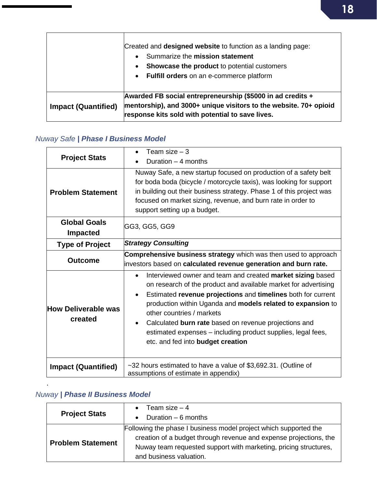|                            | Created and designed website to function as a landing page:<br>Summarize the mission statement<br>Showcase the product to potential customers<br>$\bullet$<br>• Fulfill orders on an e-commerce platform |
|----------------------------|----------------------------------------------------------------------------------------------------------------------------------------------------------------------------------------------------------|
| <b>Impact (Quantified)</b> | Awarded FB social entrepreneurship (\$5000 in ad credits +<br>mentorship), and 3000+ unique visitors to the website. 70+ opioid<br>response kits sold with potential to save lives.                      |

## *Nuway Safe | Phase I Business Model*

| <b>Project Stats</b>                   | Team size $-3$                                                                                                                                                                                                                                                                                                                                                                                                                                                                                 |
|----------------------------------------|------------------------------------------------------------------------------------------------------------------------------------------------------------------------------------------------------------------------------------------------------------------------------------------------------------------------------------------------------------------------------------------------------------------------------------------------------------------------------------------------|
|                                        | Duration $-4$ months                                                                                                                                                                                                                                                                                                                                                                                                                                                                           |
| <b>Problem Statement</b>               | Nuway Safe, a new startup focused on production of a safety belt<br>for boda boda (bicycle / motorcycle taxis), was looking for support<br>in building out their business strategy. Phase 1 of this project was<br>focused on market sizing, revenue, and burn rate in order to<br>support setting up a budget.                                                                                                                                                                                |
| <b>Global Goals</b><br><b>Impacted</b> | GG3, GG5, GG9                                                                                                                                                                                                                                                                                                                                                                                                                                                                                  |
| <b>Type of Project</b>                 | <b>Strategy Consulting</b>                                                                                                                                                                                                                                                                                                                                                                                                                                                                     |
| <b>Outcome</b>                         | Comprehensive business strategy which was then used to approach<br>investors based on calculated revenue generation and burn rate.                                                                                                                                                                                                                                                                                                                                                             |
| <b>How Deliverable was</b><br>created  | Interviewed owner and team and created market sizing based<br>$\bullet$<br>on research of the product and available market for advertising<br>Estimated revenue projections and timelines both for current<br>$\bullet$<br>production within Uganda and models related to expansion to<br>other countries / markets<br>Calculated burn rate based on revenue projections and<br>$\bullet$<br>estimated expenses - including product supplies, legal fees,<br>etc. and fed into budget creation |
| <b>Impact (Quantified)</b>             | ~32 hours estimated to have a value of \$3,692.31. (Outline of<br>assumptions of estimate in appendix)                                                                                                                                                                                                                                                                                                                                                                                         |

## *Nuway | Phase II Business Model*

| <b>Project Stats</b>     | Team size $-4$<br>$\bullet$                                                                                                                                                                                                          |
|--------------------------|--------------------------------------------------------------------------------------------------------------------------------------------------------------------------------------------------------------------------------------|
|                          | Duration $-6$ months                                                                                                                                                                                                                 |
| <b>Problem Statement</b> | Following the phase I business model project which supported the<br>creation of a budget through revenue and expense projections, the<br>Nuway team requested support with marketing, pricing structures,<br>and business valuation. |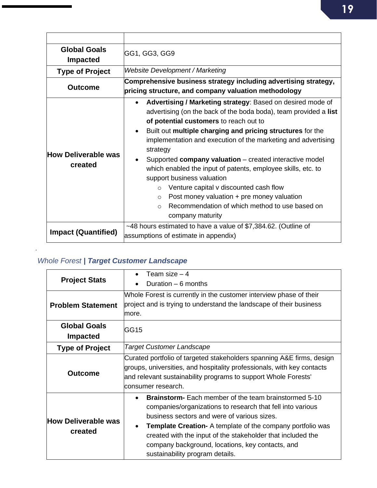| <b>Global Goals</b><br><b>Impacted</b> | GG1, GG3, GG9                                                                                                                                                                                                                                                                                                                                                                                                                                                                                                                                                                                                                                                     |
|----------------------------------------|-------------------------------------------------------------------------------------------------------------------------------------------------------------------------------------------------------------------------------------------------------------------------------------------------------------------------------------------------------------------------------------------------------------------------------------------------------------------------------------------------------------------------------------------------------------------------------------------------------------------------------------------------------------------|
| <b>Type of Project</b>                 | <b>Website Development / Marketing</b>                                                                                                                                                                                                                                                                                                                                                                                                                                                                                                                                                                                                                            |
| <b>Outcome</b>                         | Comprehensive business strategy including advertising strategy,<br>pricing structure, and company valuation methodology                                                                                                                                                                                                                                                                                                                                                                                                                                                                                                                                           |
| How Deliverable was<br>created         | Advertising / Marketing strategy: Based on desired mode of<br>advertising (on the back of the boda boda), team provided a list<br>of potential customers to reach out to<br>Built out multiple charging and pricing structures for the<br>implementation and execution of the marketing and advertising<br>strategy<br>Supported company valuation – created interactive model<br>which enabled the input of patents, employee skills, etc. to<br>support business valuation<br>Venture capital v discounted cash flow<br>Post money valuation + pre money valuation<br>$\circ$<br>Recommendation of which method to use based on<br>$\Omega$<br>company maturity |
| <b>Impact (Quantified)</b>             | ~48 hours estimated to have a value of \$7,384.62. (Outline of<br>assumptions of estimate in appendix)                                                                                                                                                                                                                                                                                                                                                                                                                                                                                                                                                            |

## *Whole Forest | Target Customer Landscape*

| <b>Project Stats</b>                   | Team size $-4$                                                                                                                                                                                                                                                                                                                                                                                       |
|----------------------------------------|------------------------------------------------------------------------------------------------------------------------------------------------------------------------------------------------------------------------------------------------------------------------------------------------------------------------------------------------------------------------------------------------------|
|                                        | Duration $-6$ months                                                                                                                                                                                                                                                                                                                                                                                 |
|                                        | Whole Forest is currently in the customer interview phase of their<br>project and is trying to understand the landscape of their business                                                                                                                                                                                                                                                            |
| <b>Problem Statement</b>               | more.                                                                                                                                                                                                                                                                                                                                                                                                |
| <b>Global Goals</b><br><b>Impacted</b> | GG15                                                                                                                                                                                                                                                                                                                                                                                                 |
| <b>Type of Project</b>                 | Target Customer Landscape                                                                                                                                                                                                                                                                                                                                                                            |
| <b>Outcome</b>                         | Curated portfolio of targeted stakeholders spanning A&E firms, design<br>groups, universities, and hospitality professionals, with key contacts<br>and relevant sustainability programs to support Whole Forests'<br>lconsumer research.                                                                                                                                                             |
| <b>How Deliverable was</b><br>created  | <b>Brainstorm-</b> Each member of the team brainstormed 5-10<br>companies/organizations to research that fell into various<br>business sectors and were of various sizes.<br><b>Template Creation-</b> A template of the company portfolio was<br>created with the input of the stakeholder that included the<br>company background, locations, key contacts, and<br>sustainability program details. |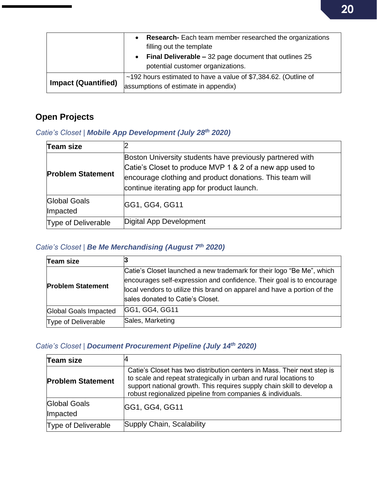|                            | Research- Each team member researched the organizations<br>filling out the template<br>• Final Deliverable – 32 page document that outlines 25<br>potential customer organizations. |
|----------------------------|-------------------------------------------------------------------------------------------------------------------------------------------------------------------------------------|
|                            |                                                                                                                                                                                     |
| <b>Impact (Quantified)</b> | $~192$ hours estimated to have a value of \$7,384.62. (Outline of<br>assumptions of estimate in appendix)                                                                           |

## <span id="page-19-0"></span>**Open Projects**

## *Catie's Closet | Mobile App Development (July 28th 2020)*

| Team size                  |                                                                                                                                                                                                                                 |
|----------------------------|---------------------------------------------------------------------------------------------------------------------------------------------------------------------------------------------------------------------------------|
| <b>Problem Statement</b>   | Boston University students have previously partnered with<br>Catie's Closet to produce MVP 1 & 2 of a new app used to<br>encourage clothing and product donations. This team will<br>continue iterating app for product launch. |
| Global Goals<br>Impacted   | <b>GG1, GG4, GG11</b>                                                                                                                                                                                                           |
| <b>Type of Deliverable</b> | Digital App Development                                                                                                                                                                                                         |

## *Catie's Closet | Be Me Merchandising (August 7th 2020)*

| <b>Team size</b>         |                                                                                                                                                                                                                                                                |
|--------------------------|----------------------------------------------------------------------------------------------------------------------------------------------------------------------------------------------------------------------------------------------------------------|
| <b>Problem Statement</b> | Catie's Closet launched a new trademark for their logo "Be Me", which<br>encourages self-expression and confidence. Their goal is to encourage<br>local vendors to utilize this brand on apparel and have a portion of the<br>sales donated to Catie's Closet. |
| Global Goals Impacted    | GG1, GG4, GG11                                                                                                                                                                                                                                                 |
| Type of Deliverable      | Sales, Marketing                                                                                                                                                                                                                                               |

### *Catie's Closet | Document Procurement Pipeline (July 14th 2020)*

| Team size                       |                                                                                                                                                                                                                                                                                      |
|---------------------------------|--------------------------------------------------------------------------------------------------------------------------------------------------------------------------------------------------------------------------------------------------------------------------------------|
| <b>Problem Statement</b>        | Catie's Closet has two distribution centers in Mass. Their next step is<br>to scale and repeat strategically in urban and rural locations to<br>support national growth. This requires supply chain skill to develop a<br>robust regionalized pipeline from companies & individuals. |
| <b>Global Goals</b><br>Impacted | GG1, GG4, GG11                                                                                                                                                                                                                                                                       |
| <b>Type of Deliverable</b>      | Supply Chain, Scalability                                                                                                                                                                                                                                                            |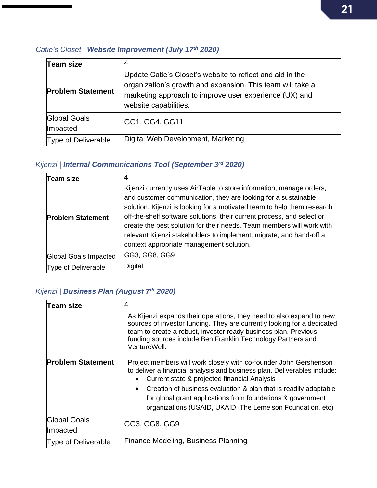#### *Catie's Closet | Website Improvement (July 17 th 2020)*

| Team size                       |                                                                                                                                                                                                            |
|---------------------------------|------------------------------------------------------------------------------------------------------------------------------------------------------------------------------------------------------------|
| <b>Problem Statement</b>        | Update Catie's Closet's website to reflect and aid in the<br>organization's growth and expansion. This team will take a<br>marketing approach to improve user experience (UX) and<br>website capabilities. |
| <b>Global Goals</b><br>Impacted | GG1, GG4, GG11                                                                                                                                                                                             |
| <b>Type of Deliverable</b>      | Digital Web Development, Marketing                                                                                                                                                                         |

### *Kijenzi | Internal Communications Tool (September 3 rd 2020)*

| Team size                |                                                                                                                                                                                                                                                                                                                                                                                                                                                                                         |
|--------------------------|-----------------------------------------------------------------------------------------------------------------------------------------------------------------------------------------------------------------------------------------------------------------------------------------------------------------------------------------------------------------------------------------------------------------------------------------------------------------------------------------|
| <b>Problem Statement</b> | Kijenzi currently uses AirTable to store information, manage orders,<br>and customer communication, they are looking for a sustainable<br>solution. Kijenzi is looking for a motivated team to help them research<br>off-the-shelf software solutions, their current process, and select or<br>create the best solution for their needs. Team members will work with<br>relevant Kijenzi stakeholders to implement, migrate, and hand-off a<br>context appropriate management solution. |
| Global Goals Impacted    | GG3, GG8, GG9                                                                                                                                                                                                                                                                                                                                                                                                                                                                           |
| Type of Deliverable      | Digital                                                                                                                                                                                                                                                                                                                                                                                                                                                                                 |

## *Kijenzi | Business Plan (August 7th 2020)*

| Team size                  |                                                                                                                                                                                                                                                                                                    |
|----------------------------|----------------------------------------------------------------------------------------------------------------------------------------------------------------------------------------------------------------------------------------------------------------------------------------------------|
|                            | As Kijenzi expands their operations, they need to also expand to new<br>sources of investor funding. They are currently looking for a dedicated<br>team to create a robust, investor ready business plan. Previous<br>funding sources include Ben Franklin Technology Partners and<br>VentureWell. |
| <b>Problem Statement</b>   | Project members will work closely with co-founder John Gershenson<br>to deliver a financial analysis and business plan. Deliverables include:<br>Current state & projected financial Analysis                                                                                                      |
|                            | Creation of business evaluation & plan that is readily adaptable<br>for global grant applications from foundations & government<br>organizations (USAID, UKAID, The Lemelson Foundation, etc)                                                                                                      |
| Global Goals<br>Impacted   | GG3, GG8, GG9                                                                                                                                                                                                                                                                                      |
| <b>Type of Deliverable</b> | <b>Finance Modeling, Business Planning</b>                                                                                                                                                                                                                                                         |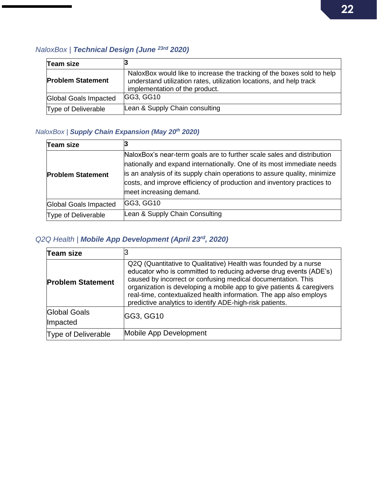## *NaloxBox | Technical Design (June 23rd 2020)*

| <b>Team size</b>         |                                                                                                                                                                                 |
|--------------------------|---------------------------------------------------------------------------------------------------------------------------------------------------------------------------------|
| <b>Problem Statement</b> | NaloxBox would like to increase the tracking of the boxes sold to help<br>understand utilization rates, utilization locations, and help track<br>implementation of the product. |
| Global Goals Impacted    | GG3, GG10                                                                                                                                                                       |
| Type of Deliverable      | Lean & Supply Chain consulting                                                                                                                                                  |

### *NaloxBox | Supply Chain Expansion (May 20th 2020)*

| Team size                  |                                                                                                                                                                                                                                                                                                                                    |
|----------------------------|------------------------------------------------------------------------------------------------------------------------------------------------------------------------------------------------------------------------------------------------------------------------------------------------------------------------------------|
| <b>Problem Statement</b>   | NaloxBox's near-term goals are to further scale sales and distribution<br>nationally and expand internationally. One of its most immediate needs<br>is an analysis of its supply chain operations to assure quality, minimize<br>costs, and improve efficiency of production and inventory practices to<br>meet increasing demand. |
| Global Goals Impacted      | GG3, GG10                                                                                                                                                                                                                                                                                                                          |
| <b>Type of Deliverable</b> | Lean & Supply Chain Consulting                                                                                                                                                                                                                                                                                                     |

#### *Q2Q Health | Mobile App Development (April 23rd , 2020)*

| Team size                              |                                                                                                                                                                                                                                                                                                                                                                                                                 |  |
|----------------------------------------|-----------------------------------------------------------------------------------------------------------------------------------------------------------------------------------------------------------------------------------------------------------------------------------------------------------------------------------------------------------------------------------------------------------------|--|
| <b>Problem Statement</b>               | Q2Q (Quantitative to Qualitative) Health was founded by a nurse<br>educator who is committed to reducing adverse drug events (ADE's)<br>caused by incorrect or confusing medical documentation. This<br>organization is developing a mobile app to give patients & caregivers<br>real-time, contextualized health information. The app also employs<br>predictive analytics to identify ADE-high-risk patients. |  |
| <b>Global Goals</b><br><b>Impacted</b> | GG3, GG10                                                                                                                                                                                                                                                                                                                                                                                                       |  |
| <b>Type of Deliverable</b>             | Mobile App Development                                                                                                                                                                                                                                                                                                                                                                                          |  |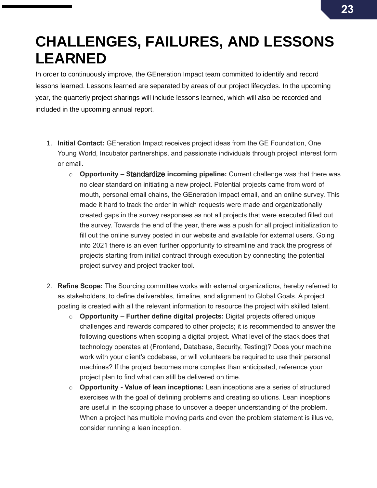## <span id="page-22-0"></span>**CHALLENGES, FAILURES, AND LESSONS LEARNED**

In order to continuously improve, the GEneration Impact team committed to identify and record lessons learned. Lessons learned are separated by areas of our project lifecycles. In the upcoming year, the quarterly project sharings will include lessons learned, which will also be recorded and included in the upcoming annual report.

- 1. **Initial Contact:** GEneration Impact receives project ideas from the GE Foundation, One Young World, Incubator partnerships, and passionate individuals through project interest form or email.
	- o **Opportunity – S**tandardize **incoming pipeline:** Current challenge was that there was no clear standard on initiating a new project. Potential projects came from word of mouth, personal email chains, the GEneration Impact email, and an online survey. This made it hard to track the order in which requests were made and organizationally created gaps in the survey responses as not all projects that were executed filled out the survey. Towards the end of the year, there was a push for all project initialization to fill out the online survey posted in our website and available for external users. Going into 2021 there is an even further opportunity to streamline and track the progress of projects starting from initial contract through execution by connecting the potential project survey and project tracker tool.
- 2. **Refine Scope:** The Sourcing committee works with external organizations, hereby referred to as stakeholders, to define deliverables, timeline, and alignment to Global Goals. A project posting is created with all the relevant information to resource the project with skilled talent.
	- o **Opportunity – Further define digital projects:** Digital projects offered unique challenges and rewards compared to other projects; it is recommended to answer the following questions when scoping a digital project. What level of the stack does that technology operates at (Frontend, Database, Security, Testing)? Does your machine work with your client's codebase, or will volunteers be required to use their personal machines? If the project becomes more complex than anticipated, reference your project plan to find what can still be delivered on time.
	- o **Opportunity - Value of lean inceptions:** Lean inceptions are a series of structured exercises with the goal of defining problems and creating solutions. Lean inceptions are useful in the scoping phase to uncover a deeper understanding of the problem. When a project has multiple moving parts and even the problem statement is illusive, consider running a lean inception.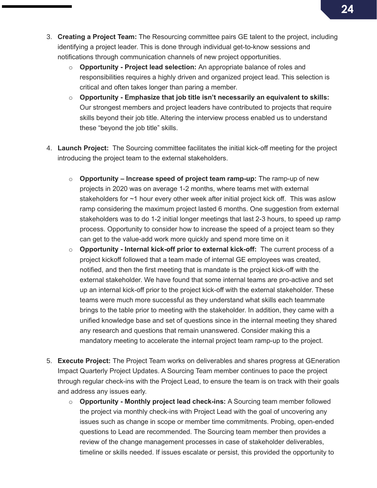- 3. **Creating a Project Team:** The Resourcing committee pairs GE talent to the project, including identifying a project leader. This is done through individual get-to-know sessions and notifications through communication channels of new project opportunities.
	- o **Opportunity - Project lead selection:** An appropriate balance of roles and responsibilities requires a highly driven and organized project lead. This selection is critical and often takes longer than paring a member.
	- o **Opportunity - Emphasize that job title isn't necessarily an equivalent to skills:**  Our strongest members and project leaders have contributed to projects that require skills beyond their job title. Altering the interview process enabled us to understand these "beyond the job title" skills.
- 4. **Launch Project:** The Sourcing committee facilitates the initial kick-off meeting for the project introducing the project team to the external stakeholders.
	- o **Opportunity – Increase speed of project team ramp-up:** The ramp-up of new projects in 2020 was on average 1-2 months, where teams met with external stakeholders for ~1 hour every other week after initial project kick off. This was aslow ramp considering the maximum project lasted 6 months. One suggestion from external stakeholders was to do 1-2 initial longer meetings that last 2-3 hours, to speed up ramp process. Opportunity to consider how to increase the speed of a project team so they can get to the value-add work more quickly and spend more time on it
	- o **Opportunity - Internal kick-off prior to external kick-off:** The current process of a project kickoff followed that a team made of internal GE employees was created, notified, and then the first meeting that is mandate is the project kick-off with the external stakeholder. We have found that some internal teams are pro-active and set up an internal kick-off prior to the project kick-off with the external stakeholder. These teams were much more successful as they understand what skills each teammate brings to the table prior to meeting with the stakeholder. In addition, they came with a unified knowledge base and set of questions since in the internal meeting they shared any research and questions that remain unanswered. Consider making this a mandatory meeting to accelerate the internal project team ramp-up to the project.
- 5. **Execute Project:** The Project Team works on deliverables and shares progress at GEneration Impact Quarterly Project Updates. A Sourcing Team member continues to pace the project through regular check-ins with the Project Lead, to ensure the team is on track with their goals and address any issues early.
	- o **Opportunity - Monthly project lead check-ins:** A Sourcing team member followed the project via monthly check-ins with Project Lead with the goal of uncovering any issues such as change in scope or member time commitments. Probing, open-ended questions to Lead are recommended. The Sourcing team member then provides a review of the change management processes in case of stakeholder deliverables, timeline or skills needed. If issues escalate or persist, this provided the opportunity to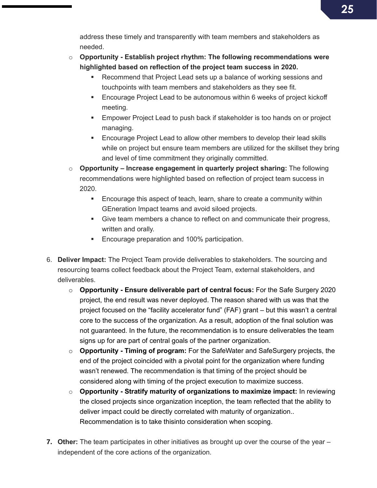address these timely and transparently with team members and stakeholders as needed.

- o **Opportunity - Establish project rhythm: The following recommendations were highlighted based on reflection of the project team success in 2020.** 
	- Recommend that Project Lead sets up a balance of working sessions and touchpoints with team members and stakeholders as they see fit.
	- Encourage Project Lead to be autonomous within 6 weeks of project kickoff meeting.
	- Empower Project Lead to push back if stakeholder is too hands on or project managing.
	- Encourage Project Lead to allow other members to develop their lead skills while on project but ensure team members are utilized for the skillset they bring and level of time commitment they originally committed.
- o **Opportunity – Increase engagement in quarterly project sharing:** The following recommendations were highlighted based on reflection of project team success in 2020.
	- **Encourage this aspect of teach, learn, share to create a community within** GEneration Impact teams and avoid siloed projects.
	- Give team members a chance to reflect on and communicate their progress, written and orally.
	- Encourage preparation and 100% participation.
- 6. **Deliver Impact:** The Project Team provide deliverables to stakeholders. The sourcing and resourcing teams collect feedback about the Project Team, external stakeholders, and deliverables.
	- o **Opportunity - Ensure deliverable part of central focus:** For the Safe Surgery 2020 project, the end result was never deployed. The reason shared with us was that the project focused on the "facility accelerator fund" (FAF) grant – but this wasn't a central core to the success of the organization. As a result, adoption of the final solution was not guaranteed. In the future, the recommendation is to ensure deliverables the team signs up for are part of central goals of the partner organization.
	- o **Opportunity - Timing of program:** For the SafeWater and SafeSurgery projects, the end of the project coincided with a pivotal point for the organization where funding wasn't renewed. The recommendation is that timing of the project should be considered along with timing of the project execution to maximize success.
	- o **Opportunity - Stratify maturity of organizations to maximize impact:** In reviewing the closed projects since organization inception, the team reflected that the ability to deliver impact could be directly correlated with maturity of organization.. Recommendation is to take thisinto consideration when scoping.
- **7. Other:** The team participates in other initiatives as brought up over the course of the year independent of the core actions of the organization.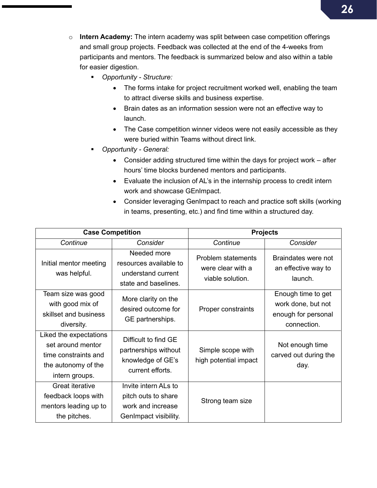- o **Intern Academy:** The intern academy was split between case competition offerings and small group projects. Feedback was collected at the end of the 4-weeks from participants and mentors. The feedback is summarized below and also within a table for easier digestion.
	- *Opportunity - Structure:*
		- The forms intake for project recruitment worked well, enabling the team to attract diverse skills and business expertise.
		- Brain dates as an information session were not an effective way to launch.
		- The Case competition winner videos were not easily accessible as they were buried within Teams without direct link.
	- *Opportunity - General:* 
		- Consider adding structured time within the days for project work after hours' time blocks burdened mentors and participants.
		- Evaluate the inclusion of AL's in the internship process to credit intern work and showcase GEnImpact.
		- Consider leveraging GenImpact to reach and practice soft skills (working in teams, presenting, etc.) and find time within a structured day.

| <b>Case Competition</b>                                                                                      |                                                                                           | <b>Projects</b>                                                    |                                                                                |
|--------------------------------------------------------------------------------------------------------------|-------------------------------------------------------------------------------------------|--------------------------------------------------------------------|--------------------------------------------------------------------------------|
| Continue                                                                                                     | Consider                                                                                  | Continue                                                           | Consider                                                                       |
| Initial mentor meeting<br>was helpful.                                                                       | Needed more<br>resources available to<br>understand current<br>state and baselines.       | <b>Problem statements</b><br>were clear with a<br>viable solution. | Braindates were not<br>an effective way to<br>launch.                          |
| Team size was good<br>with good mix of<br>skillset and business<br>diversity.                                | More clarity on the<br>desired outcome for<br>GE partnerships.                            | <b>Proper constraints</b>                                          | Enough time to get<br>work done, but not<br>enough for personal<br>connection. |
| Liked the expectations<br>set around mentor<br>time constraints and<br>the autonomy of the<br>intern groups. | Difficult to find GE<br>partnerships without<br>knowledge of GE's<br>current efforts.     | Simple scope with<br>high potential impact                         | Not enough time<br>carved out during the<br>day.                               |
| Great iterative<br>feedback loops with<br>mentors leading up to<br>the pitches.                              | Invite intern ALs to<br>pitch outs to share<br>work and increase<br>GenImpact visibility. | Strong team size                                                   |                                                                                |